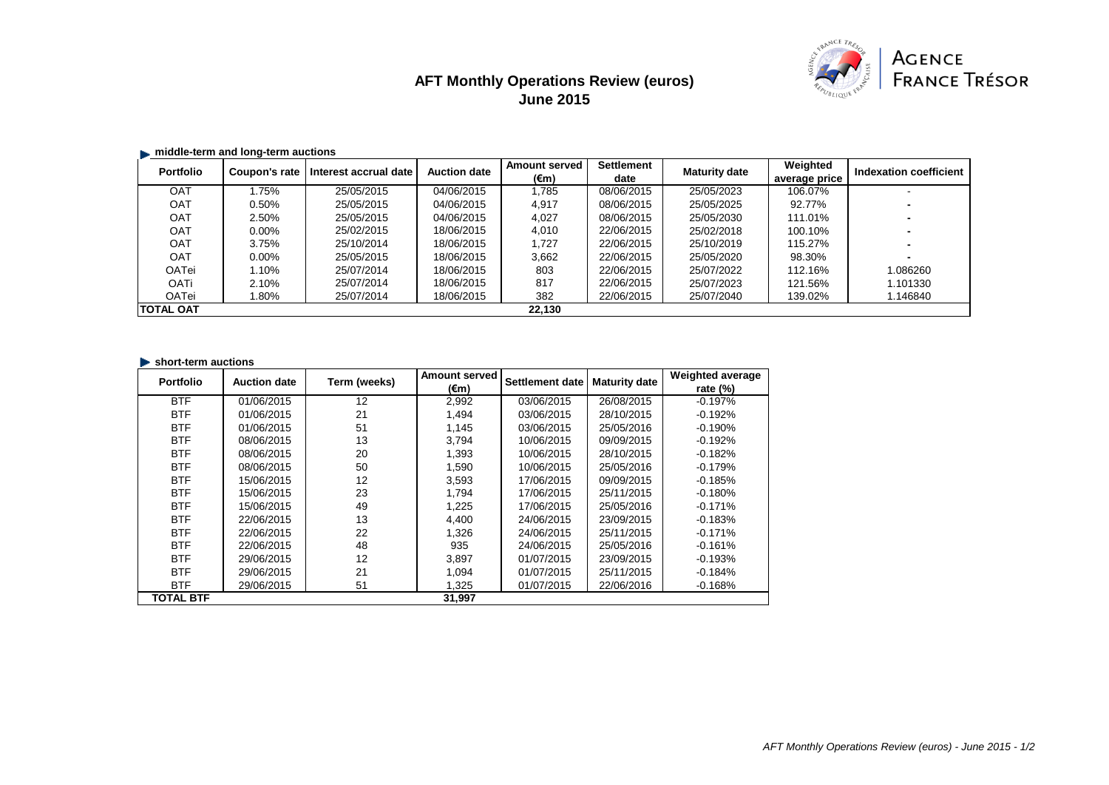## **AFT Monthly Operations Review (euros) June 2015**



## **middle-term and long-term auctions**

| <b>Portfolio</b> | Coupon's rate | Interest accrual date | <b>Auction date</b> | <b>Amount served</b> | <b>Settlement</b> | <b>Maturity date</b> | Weighted      | <b>Indexation coefficient</b> |
|------------------|---------------|-----------------------|---------------------|----------------------|-------------------|----------------------|---------------|-------------------------------|
|                  |               |                       |                     | $(\epsilon m)$       | date              |                      | average price |                               |
| <b>OAT</b>       | .75%          | 25/05/2015            | 04/06/2015          | .785                 | 08/06/2015        | 25/05/2023           | 106.07%       |                               |
| <b>OAT</b>       | 0.50%         | 25/05/2015            | 04/06/2015          | 4,917                | 08/06/2015        | 25/05/2025           | 92.77%        |                               |
| <b>OAT</b>       | 2.50%         | 25/05/2015            | 04/06/2015          | 4,027                | 08/06/2015        | 25/05/2030           | 111.01%       |                               |
| <b>OAT</b>       | $0.00\%$      | 25/02/2015            | 18/06/2015          | 4,010                | 22/06/2015        | 25/02/2018           | 100.10%       |                               |
| <b>OAT</b>       | 3.75%         | 25/10/2014            | 18/06/2015          | 1,727                | 22/06/2015        | 25/10/2019           | 115.27%       |                               |
| <b>OAT</b>       | $0.00\%$      | 25/05/2015            | 18/06/2015          | 3,662                | 22/06/2015        | 25/05/2020           | 98.30%        |                               |
| <b>OATei</b>     | 1.10%         | 25/07/2014            | 18/06/2015          | 803                  | 22/06/2015        | 25/07/2022           | 112.16%       | 1.086260                      |
| <b>OATi</b>      | 2.10%         | 25/07/2014            | 18/06/2015          | 817                  | 22/06/2015        | 25/07/2023           | 121.56%       | 1.101330                      |
| <b>OATei</b>     | .80%          | 25/07/2014            | 18/06/2015          | 382                  | 22/06/2015        | 25/07/2040           | 139.02%       | 1.146840                      |
| <b>TOTAL OAT</b> |               |                       |                     | 22,130               |                   |                      |               |                               |

## **In short-term auctions**

| <b>Portfolio</b> | <b>Auction date</b> | Term (weeks) | <b>Amount served</b> | <b>Settlement date</b> | <b>Maturity date</b> | <b>Weighted average</b> |
|------------------|---------------------|--------------|----------------------|------------------------|----------------------|-------------------------|
|                  |                     |              | $(\epsilon m)$       |                        |                      | rate $(\%)$             |
| <b>BTF</b>       | 01/06/2015          | 12           | 2,992                | 03/06/2015             | 26/08/2015           | $-0.197%$               |
| <b>BTF</b>       | 01/06/2015          | 21           | 1,494                | 03/06/2015             | 28/10/2015           | $-0.192%$               |
| <b>BTF</b>       | 01/06/2015          | 51           | 1,145                | 03/06/2015             | 25/05/2016           | $-0.190%$               |
| <b>BTF</b>       | 08/06/2015          | 13           | 3,794                | 10/06/2015             | 09/09/2015           | $-0.192%$               |
| <b>BTF</b>       | 08/06/2015          | 20           | 1,393                | 10/06/2015             | 28/10/2015           | $-0.182%$               |
| <b>BTF</b>       | 08/06/2015          | 50           | 1,590                | 10/06/2015             | 25/05/2016           | $-0.179%$               |
| <b>BTF</b>       | 15/06/2015          | 12           | 3,593                | 17/06/2015             | 09/09/2015           | $-0.185%$               |
| <b>BTF</b>       | 15/06/2015          | 23           | 1,794                | 17/06/2015             | 25/11/2015           | $-0.180%$               |
| <b>BTF</b>       | 15/06/2015          | 49           | 1,225                | 17/06/2015             | 25/05/2016           | $-0.171%$               |
| <b>BTF</b>       | 22/06/2015          | 13           | 4,400                | 24/06/2015             | 23/09/2015           | $-0.183%$               |
| <b>BTF</b>       | 22/06/2015          | 22           | 1,326                | 24/06/2015             | 25/11/2015           | $-0.171%$               |
| <b>BTF</b>       | 22/06/2015          | 48           | 935                  | 24/06/2015             | 25/05/2016           | $-0.161%$               |
| <b>BTF</b>       | 29/06/2015          | 12           | 3,897                | 01/07/2015             | 23/09/2015           | $-0.193%$               |
| <b>BTF</b>       | 29/06/2015          | 21           | 1,094                | 01/07/2015             | 25/11/2015           | $-0.184%$               |
| <b>BTF</b>       | 29/06/2015          | 51           | 1,325                | 01/07/2015             | 22/06/2016           | $-0.168%$               |
| <b>TOTAL BTF</b> |                     |              | 31,997               |                        |                      |                         |